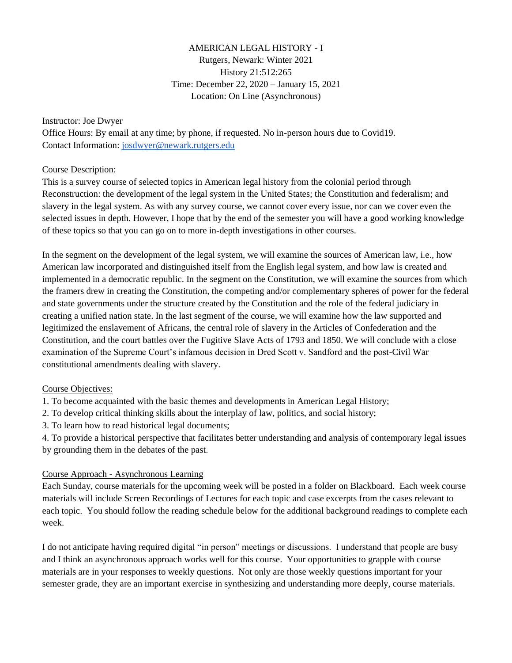# AMERICAN LEGAL HISTORY - I Rutgers, Newark: Winter 2021 History 21:512:265 Time: December 22, 2020 – January 15, 2021 Location: On Line (Asynchronous)

#### Instructor: Joe Dwyer

Office Hours: By email at any time; by phone, if requested. No in-person hours due to Covid19. Contact Information[: josdwyer@newark.rutgers.edu](mailto:josdwyer@newark.rutgers.edu)

#### Course Description:

This is a survey course of selected topics in American legal history from the colonial period through Reconstruction: the development of the legal system in the United States; the Constitution and federalism; and slavery in the legal system. As with any survey course, we cannot cover every issue, nor can we cover even the selected issues in depth. However, I hope that by the end of the semester you will have a good working knowledge of these topics so that you can go on to more in-depth investigations in other courses.

In the segment on the development of the legal system, we will examine the sources of American law, i.e., how American law incorporated and distinguished itself from the English legal system, and how law is created and implemented in a democratic republic. In the segment on the Constitution, we will examine the sources from which the framers drew in creating the Constitution, the competing and/or complementary spheres of power for the federal and state governments under the structure created by the Constitution and the role of the federal judiciary in creating a unified nation state. In the last segment of the course, we will examine how the law supported and legitimized the enslavement of Africans, the central role of slavery in the Articles of Confederation and the Constitution, and the court battles over the Fugitive Slave Acts of 1793 and 1850. We will conclude with a close examination of the Supreme Court's infamous decision in Dred Scott v. Sandford and the post-Civil War constitutional amendments dealing with slavery.

## Course Objectives:

1. To become acquainted with the basic themes and developments in American Legal History;

- 2. To develop critical thinking skills about the interplay of law, politics, and social history;
- 3. To learn how to read historical legal documents;

4. To provide a historical perspective that facilitates better understanding and analysis of contemporary legal issues by grounding them in the debates of the past.

## Course Approach - Asynchronous Learning

Each Sunday, course materials for the upcoming week will be posted in a folder on Blackboard. Each week course materials will include Screen Recordings of Lectures for each topic and case excerpts from the cases relevant to each topic. You should follow the reading schedule below for the additional background readings to complete each week.

I do not anticipate having required digital "in person" meetings or discussions. I understand that people are busy and I think an asynchronous approach works well for this course. Your opportunities to grapple with course materials are in your responses to weekly questions. Not only are those weekly questions important for your semester grade, they are an important exercise in synthesizing and understanding more deeply, course materials.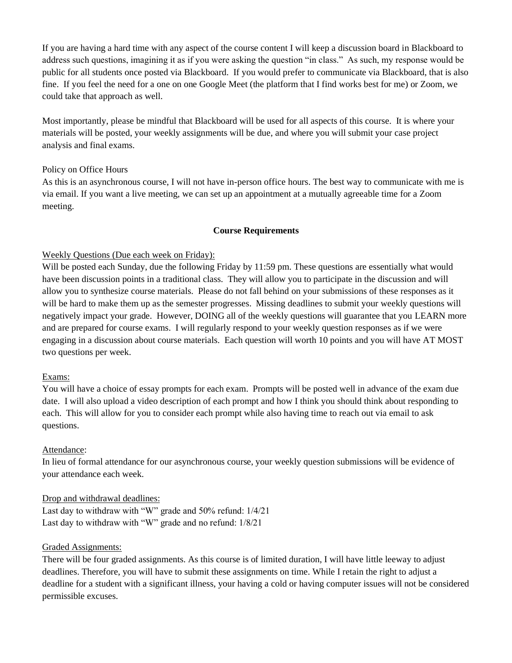If you are having a hard time with any aspect of the course content I will keep a discussion board in Blackboard to address such questions, imagining it as if you were asking the question "in class." As such, my response would be public for all students once posted via Blackboard. If you would prefer to communicate via Blackboard, that is also fine. If you feel the need for a one on one Google Meet (the platform that I find works best for me) or Zoom, we could take that approach as well.

Most importantly, please be mindful that Blackboard will be used for all aspects of this course. It is where your materials will be posted, your weekly assignments will be due, and where you will submit your case project analysis and final exams.

#### Policy on Office Hours

As this is an asynchronous course, I will not have in-person office hours. The best way to communicate with me is via email. If you want a live meeting, we can set up an appointment at a mutually agreeable time for a Zoom meeting.

#### **Course Requirements**

#### Weekly Questions (Due each week on Friday):

Will be posted each Sunday, due the following Friday by 11:59 pm. These questions are essentially what would have been discussion points in a traditional class. They will allow you to participate in the discussion and will allow you to synthesize course materials. Please do not fall behind on your submissions of these responses as it will be hard to make them up as the semester progresses. Missing deadlines to submit your weekly questions will negatively impact your grade. However, DOING all of the weekly questions will guarantee that you LEARN more and are prepared for course exams. I will regularly respond to your weekly question responses as if we were engaging in a discussion about course materials. Each question will worth 10 points and you will have AT MOST two questions per week.

#### Exams:

You will have a choice of essay prompts for each exam. Prompts will be posted well in advance of the exam due date. I will also upload a video description of each prompt and how I think you should think about responding to each. This will allow for you to consider each prompt while also having time to reach out via email to ask questions.

## Attendance:

In lieu of formal attendance for our asynchronous course, your weekly question submissions will be evidence of your attendance each week.

## Drop and withdrawal deadlines:

Last day to withdraw with "W" grade and 50% refund: 1/4/21 Last day to withdraw with "W" grade and no refund: 1/8/21

#### Graded Assignments:

There will be four graded assignments. As this course is of limited duration, I will have little leeway to adjust deadlines. Therefore, you will have to submit these assignments on time. While I retain the right to adjust a deadline for a student with a significant illness, your having a cold or having computer issues will not be considered permissible excuses.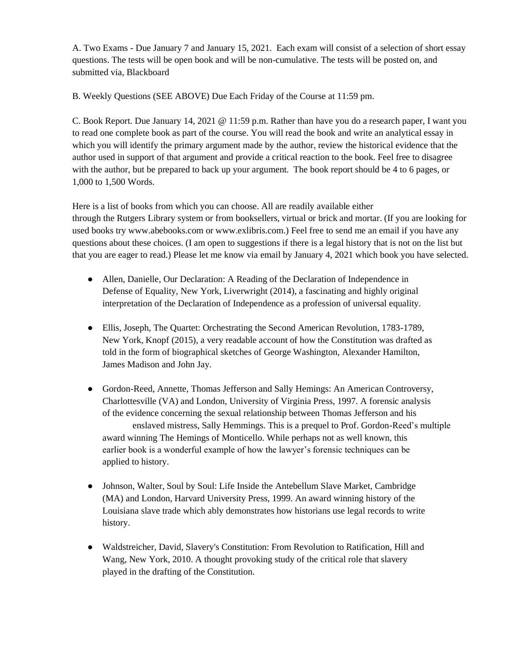A. Two Exams - Due January 7 and January 15, 2021. Each exam will consist of a selection of short essay questions. The tests will be open book and will be non-cumulative. The tests will be posted on, and submitted via, Blackboard

B. Weekly Questions (SEE ABOVE) Due Each Friday of the Course at 11:59 pm.

C. Book Report. Due January 14, 2021 @ 11:59 p.m. Rather than have you do a research paper, I want you to read one complete book as part of the course. You will read the book and write an analytical essay in which you will identify the primary argument made by the author, review the historical evidence that the author used in support of that argument and provide a critical reaction to the book. Feel free to disagree with the author, but be prepared to back up your argument. The book report should be 4 to 6 pages, or 1,000 to 1,500 Words.

Here is a list of books from which you can choose. All are readily available either through the Rutgers Library system or from booksellers, virtual or brick and mortar. (If you are looking for used books try www.abebooks.com or www.exlibris.com.) Feel free to send me an email if you have any questions about these choices. (I am open to suggestions if there is a legal history that is not on the list but that you are eager to read.) Please let me know via email by January 4, 2021 which book you have selected.

- Allen, Danielle, Our Declaration: A Reading of the Declaration of Independence in Defense of Equality, New York, Liverwright (2014), a fascinating and highly original interpretation of the Declaration of Independence as a profession of universal equality.
- Ellis, Joseph, The Quartet: Orchestrating the Second American Revolution, 1783-1789, New York, Knopf (2015), a very readable account of how the Constitution was drafted as told in the form of biographical sketches of George Washington, Alexander Hamilton, James Madison and John Jay.
- Gordon-Reed, Annette, Thomas Jefferson and Sally Hemings: An American Controversy, Charlottesville (VA) and London, University of Virginia Press, 1997. A forensic analysis of the evidence concerning the sexual relationship between Thomas Jefferson and his enslaved mistress, Sally Hemmings. This is a prequel to Prof. Gordon-Reed's multiple award winning The Hemings of Monticello. While perhaps not as well known, this earlier book is a wonderful example of how the lawyer's forensic techniques can be applied to history.
- Johnson, Walter, Soul by Soul: Life Inside the Antebellum Slave Market, Cambridge (MA) and London, Harvard University Press, 1999. An award winning history of the Louisiana slave trade which ably demonstrates how historians use legal records to write history.
- Waldstreicher, David, Slavery's Constitution: From Revolution to Ratification, Hill and Wang, New York, 2010. A thought provoking study of the critical role that slavery played in the drafting of the Constitution.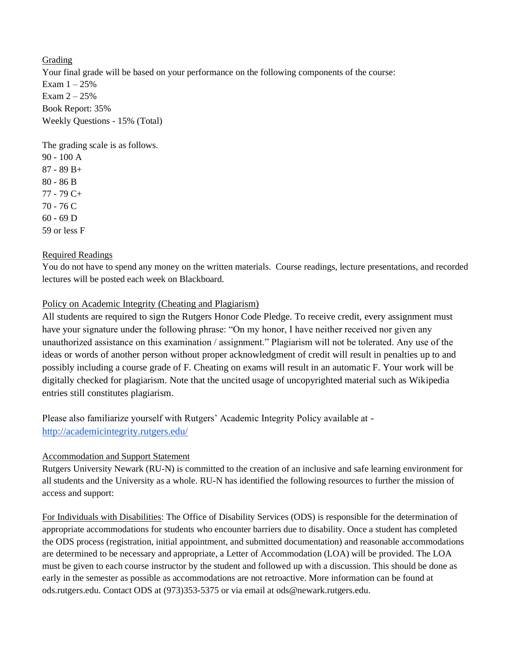Grading Your final grade will be based on your performance on the following components of the course: Exam  $1 - 25%$ Exam  $2 - 25%$ Book Report: 35% Weekly Questions - 15% (Total)

The grading scale is as follows.

90 - 100 A 87 - 89 B+ 80 - 86 B 77 - 79 C+ 70 - 76 C 60 - 69 D 59 or less F

## Required Readings

You do not have to spend any money on the written materials. Course readings, lecture presentations, and recorded lectures will be posted each week on Blackboard.

## Policy on Academic Integrity (Cheating and Plagiarism)

All students are required to sign the Rutgers Honor Code Pledge. To receive credit, every assignment must have your signature under the following phrase: "On my honor, I have neither received nor given any unauthorized assistance on this examination / assignment." Plagiarism will not be tolerated. Any use of the ideas or words of another person without proper acknowledgment of credit will result in penalties up to and possibly including a course grade of F. Cheating on exams will result in an automatic F. Your work will be digitally checked for plagiarism. Note that the uncited usage of uncopyrighted material such as Wikipedia entries still constitutes plagiarism.

Please also familiarize yourself with Rutgers' Academic Integrity Policy available at <http://academicintegrity.rutgers.edu/>

## Accommodation and Support Statement

Rutgers University Newark (RU-N) is committed to the creation of an inclusive and safe learning environment for all students and the University as a whole. RU-N has identified the following resources to further the mission of access and support:

For Individuals with Disabilities: The Office of Disability Services (ODS) is responsible for the determination of appropriate accommodations for students who encounter barriers due to disability. Once a student has completed the ODS process (registration, initial appointment, and submitted documentation) and reasonable accommodations are determined to be necessary and appropriate, a Letter of Accommodation (LOA) will be provided. The LOA must be given to each course instructor by the student and followed up with a discussion. This should be done as early in the semester as possible as accommodations are not retroactive. More information can be found at ods.rutgers.edu. Contact ODS at (973)353-5375 or via email at ods@newark.rutgers.edu.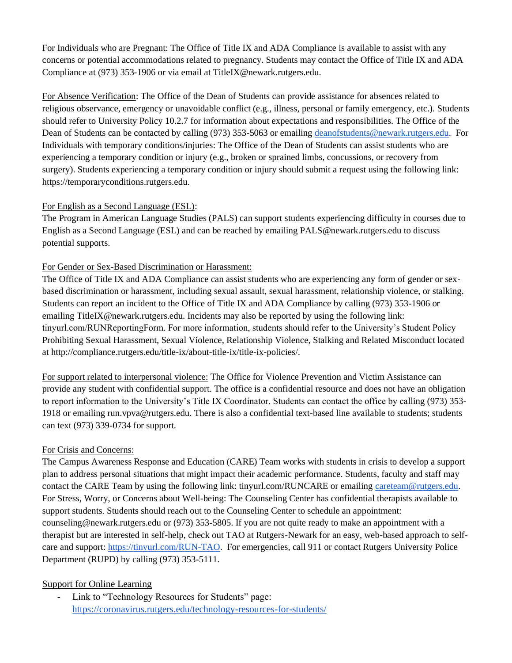For Individuals who are Pregnant: The Office of Title IX and ADA Compliance is available to assist with any concerns or potential accommodations related to pregnancy. Students may contact the Office of Title IX and ADA Compliance at (973) 353-1906 or via email at TitleIX@newark.rutgers.edu.

For Absence Verification: The Office of the Dean of Students can provide assistance for absences related to religious observance, emergency or unavoidable conflict (e.g., illness, personal or family emergency, etc.). Students should refer to University Policy 10.2.7 for information about expectations and responsibilities. The Office of the Dean of Students can be contacted by calling (973) 353-5063 or emailing [deanofstudents@newark.rutgers.edu.](mailto:deanofstudents@newark.rutgers.edu) For Individuals with temporary conditions/injuries: The Office of the Dean of Students can assist students who are experiencing a temporary condition or injury (e.g., broken or sprained limbs, concussions, or recovery from surgery). Students experiencing a temporary condition or injury should submit a request using the following link: https://temporaryconditions.rutgers.edu.

## For English as a Second Language (ESL):

The Program in American Language Studies (PALS) can support students experiencing difficulty in courses due to English as a Second Language (ESL) and can be reached by emailing PALS@newark.rutgers.edu to discuss potential supports.

## For Gender or Sex-Based Discrimination or Harassment:

The Office of Title IX and ADA Compliance can assist students who are experiencing any form of gender or sexbased discrimination or harassment, including sexual assault, sexual harassment, relationship violence, or stalking. Students can report an incident to the Office of Title IX and ADA Compliance by calling (973) 353-1906 or emailing TitleIX@newark.rutgers.edu. Incidents may also be reported by using the following link: tinyurl.com/RUNReportingForm. For more information, students should refer to the University's Student Policy Prohibiting Sexual Harassment, Sexual Violence, Relationship Violence, Stalking and Related Misconduct located at http://compliance.rutgers.edu/title-ix/about-title-ix/title-ix-policies/.

For support related to interpersonal violence: The Office for Violence Prevention and Victim Assistance can provide any student with confidential support. The office is a confidential resource and does not have an obligation to report information to the University's Title IX Coordinator. Students can contact the office by calling (973) 353- 1918 or emailing run.vpva@rutgers.edu. There is also a confidential text-based line available to students; students can text (973) 339-0734 for support.

# For Crisis and Concerns:

The Campus Awareness Response and Education (CARE) Team works with students in crisis to develop a support plan to address personal situations that might impact their academic performance. Students, faculty and staff may contact the CARE Team by using the following link: tinyurl.com/RUNCARE or emailing [careteam@rutgers.edu.](mailto:careteam@rutgers.edu) For Stress, Worry, or Concerns about Well-being: The Counseling Center has confidential therapists available to support students. Students should reach out to the Counseling Center to schedule an appointment: counseling@newark.rutgers.edu or (973) 353-5805. If you are not quite ready to make an appointment with a therapist but are interested in self-help, check out TAO at Rutgers-Newark for an easy, web-based approach to selfcare and support: [https://tinyurl.com/RUN-TAO.](https://tinyurl.com/RUN-TAO) For emergencies, call 911 or contact Rutgers University Police Department (RUPD) by calling (973) 353-5111.

# Support for Online Learning

- Link to "Technology Resources for Students" page: <https://coronavirus.rutgers.edu/technology-resources-for-students/>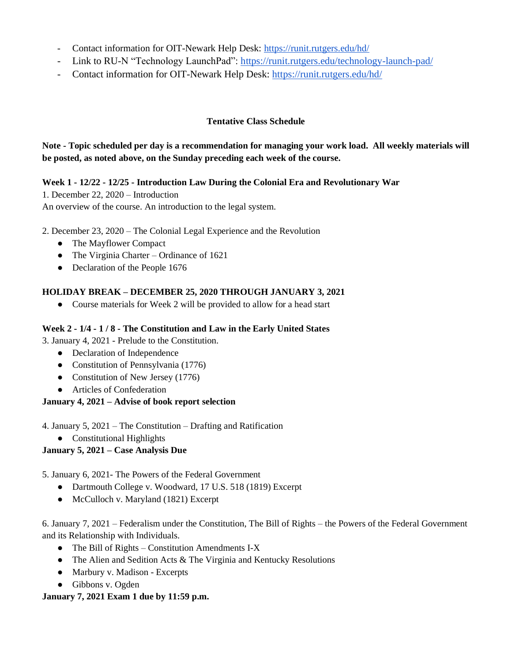- Contact information for OIT-Newark Help Desk:<https://runit.rutgers.edu/hd/>
- Link to RU-N "Technology LaunchPad":<https://runit.rutgers.edu/technology-launch-pad/>
- Contact information for OIT-Newark Help Desk:<https://runit.rutgers.edu/hd/>

## **Tentative Class Schedule**

**Note - Topic scheduled per day is a recommendation for managing your work load. All weekly materials will be posted, as noted above, on the Sunday preceding each week of the course.** 

## **Week 1 - 12/22 - 12/25 - Introduction Law During the Colonial Era and Revolutionary War**

1. December 22, 2020 – Introduction An overview of the course. An introduction to the legal system.

2. December 23, 2020 – The Colonial Legal Experience and the Revolution

- The Mayflower Compact
- The Virginia Charter Ordinance of 1621
- Declaration of the People 1676

## **HOLIDAY BREAK – DECEMBER 25, 2020 THROUGH JANUARY 3, 2021**

● Course materials for Week 2 will be provided to allow for a head start

## **Week 2 - 1/4 - 1 / 8 - The Constitution and Law in the Early United States**

3. January 4, 2021 - Prelude to the Constitution.

- Declaration of Independence
- Constitution of Pennsylvania (1776)
- Constitution of New Jersey (1776)
- Articles of Confederation

## **January 4, 2021 – Advise of book report selection**

4. January 5, 2021 – The Constitution – Drafting and Ratification

● Constitutional Highlights

# **January 5, 2021 – Case Analysis Due**

5. January 6, 2021- The Powers of the Federal Government

- Dartmouth College v. Woodward, 17 U.S. 518 (1819) Excerpt
- McCulloch v. Maryland (1821) Excerpt

6. January 7, 2021 – Federalism under the Constitution, The Bill of Rights – the Powers of the Federal Government and its Relationship with Individuals.

- $\bullet$  The Bill of Rights Constitution Amendments I-X
- The Alien and Sedition Acts & The Virginia and Kentucky Resolutions
- Marbury v. Madison Excerpts
- Gibbons v. Ogden

## **January 7, 2021 Exam 1 due by 11:59 p.m.**